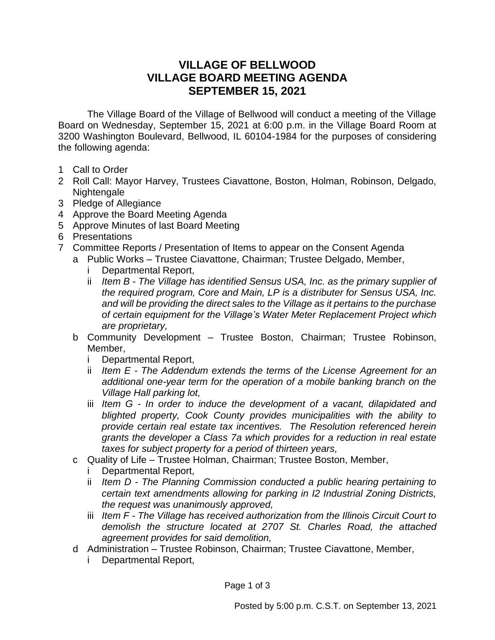## **VILLAGE OF BELLWOOD VILLAGE BOARD MEETING AGENDA SEPTEMBER 15, 2021**

The Village Board of the Village of Bellwood will conduct a meeting of the Village Board on Wednesday, September 15, 2021 at 6:00 p.m. in the Village Board Room at 3200 Washington Boulevard, Bellwood, IL 60104-1984 for the purposes of considering the following agenda:

- 1 Call to Order
- 2 Roll Call: Mayor Harvey, Trustees Ciavattone, Boston, Holman, Robinson, Delgado, Nightengale
- 3 Pledge of Allegiance
- 4 Approve the Board Meeting Agenda
- 5 Approve Minutes of last Board Meeting
- 6 Presentations
- 7 Committee Reports / Presentation of Items to appear on the Consent Agenda
	- a Public Works Trustee Ciavattone, Chairman; Trustee Delgado, Member,
		- i Departmental Report,
		- ii *Item B - The Village has identified Sensus USA, Inc. as the primary supplier of the required program, Core and Main, LP is a distributer for Sensus USA, Inc. and will be providing the direct sales to the Village as it pertains to the purchase of certain equipment for the Village's Water Meter Replacement Project which are proprietary,*
		- b Community Development Trustee Boston, Chairman; Trustee Robinson, Member,
			- i Departmental Report,
			- ii *Item E - The Addendum extends the terms of the License Agreement for an additional one-year term for the operation of a mobile banking branch on the Village Hall parking lot,*
			- iii *Item G - In order to induce the development of a vacant, dilapidated and blighted property, Cook County provides municipalities with the ability to provide certain real estate tax incentives. The Resolution referenced herein grants the developer a Class 7a which provides for a reduction in real estate taxes for subject property for a period of thirteen years,*
		- c Quality of Life Trustee Holman, Chairman; Trustee Boston, Member,
			- Departmental Report,
			- ii *Item D - The Planning Commission conducted a public hearing pertaining to certain text amendments allowing for parking in I2 Industrial Zoning Districts, the request was unanimously approved,*
			- iii *Item F - The Village has received authorization from the Illinois Circuit Court to demolish the structure located at 2707 St. Charles Road, the attached agreement provides for said demolition,*
		- d Administration Trustee Robinson, Chairman; Trustee Ciavattone, Member,
			- i Departmental Report,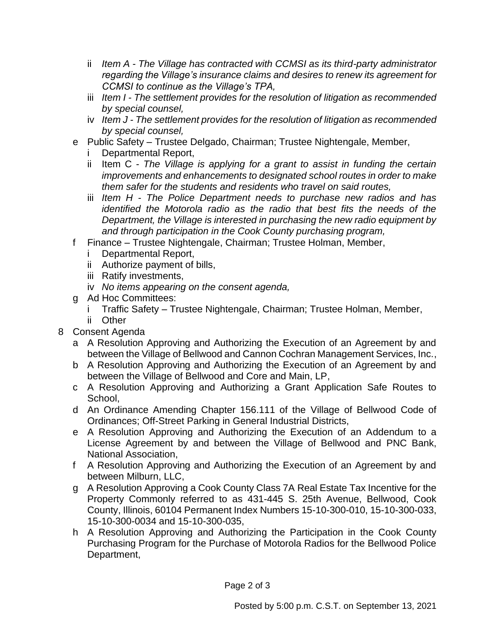- ii *Item A - The Village has contracted with CCMSI as its third-party administrator regarding the Village's insurance claims and desires to renew its agreement for CCMSI to continue as the Village's TPA,*
- iii *Item I - The settlement provides for the resolution of litigation as recommended by special counsel,*
- iv *Item J - The settlement provides for the resolution of litigation as recommended by special counsel,*
- e Public Safety Trustee Delgado, Chairman; Trustee Nightengale, Member,
	- i Departmental Report,
	- ii Item C *The Village is applying for a grant to assist in funding the certain improvements and enhancements to designated school routes in order to make them safer for the students and residents who travel on said routes,*
	- iii *Item H - The Police Department needs to purchase new radios and has identified the Motorola radio as the radio that best fits the needs of the Department, the Village is interested in purchasing the new radio equipment by and through participation in the Cook County purchasing program,*
- f Finance Trustee Nightengale, Chairman; Trustee Holman, Member,
	- i Departmental Report,
	- ii Authorize payment of bills,
	- iii Ratify investments,
	- iv *No items appearing on the consent agenda,*
- g Ad Hoc Committees:
	- i Traffic Safety Trustee Nightengale, Chairman; Trustee Holman, Member,
	- ii Other
- 8 Consent Agenda
	- a A Resolution Approving and Authorizing the Execution of an Agreement by and between the Village of Bellwood and Cannon Cochran Management Services, Inc.,
	- b A Resolution Approving and Authorizing the Execution of an Agreement by and between the Village of Bellwood and Core and Main, LP,
	- c A Resolution Approving and Authorizing a Grant Application Safe Routes to School,
	- d An Ordinance Amending Chapter 156.111 of the Village of Bellwood Code of Ordinances; Off-Street Parking in General Industrial Districts,
	- e A Resolution Approving and Authorizing the Execution of an Addendum to a License Agreement by and between the Village of Bellwood and PNC Bank, National Association,
	- f A Resolution Approving and Authorizing the Execution of an Agreement by and between Milburn, LLC,
	- g A Resolution Approving a Cook County Class 7A Real Estate Tax Incentive for the Property Commonly referred to as 431-445 S. 25th Avenue, Bellwood, Cook County, Illinois, 60104 Permanent Index Numbers 15-10-300-010, 15-10-300-033, 15-10-300-0034 and 15-10-300-035,
	- h A Resolution Approving and Authorizing the Participation in the Cook County Purchasing Program for the Purchase of Motorola Radios for the Bellwood Police Department,